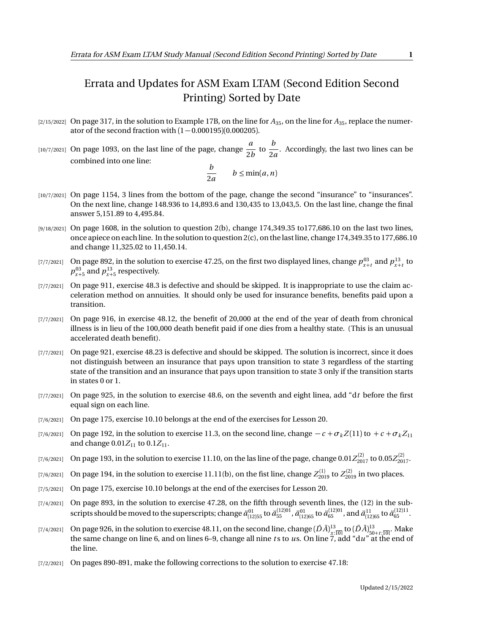## Errata and Updates for ASM Exam LTAM (Second Edition Second Printing) Sorted by Date

- [2/15/2022] On page 317, in the solution to Example 17B, on the line for  $A_{35}$ , on the line for  $A_{35}$ , replace the numerator of the second fraction with  $(1 - 0.000195)(0.000205)$ .
- $\begin{bmatrix}10/7/2021\end{bmatrix}$  On page 1093, on the last line of the page, change  $\frac{a}{2}$  $\frac{a}{2b}$  to  $\frac{b}{2a}$  $\frac{1}{2a}$ . Accordingly, the last two lines can be combined into one line:

$$
\frac{b}{2a} \qquad b \le \min(a, n)
$$

- [10/7/2021] On page 1154, 3 lines from the bottom of the page, change the second "insurance" to "insurances". On the next line, change 148.936 to 14,893.6 and 130,435 to 13,043,5. On the last line, change the final answer 5,151.89 to 4,495.84.
- [9/18/2021] On page 1608, in the solution to question 2(b), change 174,349.35 to177,686.10 on the last two lines, once apiece on each line. In the solution to question 2(c), on the last line, change 174,349.35 to 177,686.10 and change 11,325.02 to 11,450.14.
- [7/7/2021] On page 892, in the solution to exercise 47.25, on the first two displayed lines, change  $p_{x+t}^{03}$  and  $p_{x+t}^{13}$  to  $p_{x+5}^{03}$  and  $p_{x+5}^{13}$  respectively.
- [7/7/2021] On page 911, exercise 48.3 is defective and should be skipped. It is inappropriate to use the claim acceleration method on annuities. It should only be used for insurance benefits, benefits paid upon a transition.
- [7/7/2021] On page 916, in exercise 48.12, the benefit of 20,000 at the end of the year of death from chronical illness is in lieu of the 100,000 death benefit paid if one dies from a healthy state. (This is an unusual accelerated death benefit).
- [7/7/2021] On page 921, exercise 48.23 is defective and should be skipped. The solution is incorrect, since it does not distinguish between an insurance that pays upon transition to state 3 regardless of the starting state of the transition and an insurance that pays upon transition to state 3 only if the transition starts in states 0 or 1.
- [7/7/2021] On page 925, in the solution to exercise 48.6, on the seventh and eight linea, add "d*t* before the first equal sign on each line.
- [7/6/2021] On page 175, exercise 10.10 belongs at the end of the exercises for Lesson 20.
- [7/6/2021] On page 192, in the solution to exercise 11.3, on the second line, change  $-c + \sigma_k Z(11)$  to  $+c + \sigma_k Z_{11}$ and change  $0.01Z_{11}$  to  $0.1Z_{11}$ .
- $_{[7/6/2021]}$  On page 193, in the solution to exercise 11.10, on the las line of the page, change  $0.01Z_{2017}^{(2)}$  to  $0.05Z_{2017}^{(2)}$ .
- $(7/6/2021]$  On page 194, in the solution to exercise 11.11(b), on the fist line, change  $Z_{2019}^{(1)}$  to  $Z_{2019}^{(2)}$  in two places.
- [7/5/2021] On page 175, exercise 10.10 belongs at the end of the exercises for Lesson 20.
- [7/4/2021] On page 893, in the solution to exercise 47.28, on the fifth through seventh lines, the (12) in the subscripts should be moved to the superscripts; change  $\ddot{a}_{[12]55}^{01}$  to  $\ddot{a}_{55}^{(12)01}$ ,  $\ddot{a}_{05}^{01}$  and  $\ddot{a}_{[12]65}^{11}$  to  $\ddot{a}_{65}^{(12)11}$ .
- $(7/4/2021]$  On page 926, in the solution to exercise 48.11, on the second line, change  $(D\bar{A})^{13}_{\underline{x};\overline{10}|}$  to  $(D\bar{A})^{13}_{\underline{50}+t;\overline{10}|}$ . Make the same change on line 6, and on lines 6–9, change all nine *t* s to *u*s. On line 7, add "d*u*" at the end of the line.
- [7/2/2021] On pages 890-891, make the following corrections to the solution to exercise 47.18: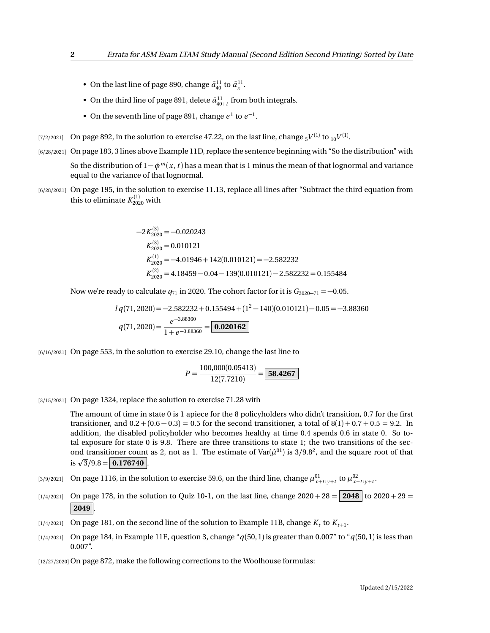- On the last line of page 890, change  $\bar{a}_{40}^{11}$  to  $\bar{a}_x^{11}$ .
- On the third line of page 891, delete  $\bar{a}_{40+t}^{11}$  from both integrals.
- On the seventh line of page 891, change  $e^1$  to  $e^{-1}$ .
- $_{[7/2/2021]}$   $\,$  On page 892, in the solution to exercise 47.22, on the last line, change  $_{5}V^{(1)}$  to  $_{10}V^{(1)}.$
- [6/28/2021] On page 183, 3 lines above Example 11D, replace the sentence beginning with "So the distribution" with So the distribution of 1−*φ<sup>m</sup>* (*x* ,*t* ) has a mean that is 1 minus the mean of that lognormal and variance equal to the variance of that lognormal.
- [6/28/2021] On page 195, in the solution to exercise 11.13, replace all lines after "Subtract the third equation from this to eliminate  $K_{2020}^{(1)}$  with

$$
-2K_{2020}^{(3)} = -0.020243
$$
  
\n
$$
K_{2020}^{(1)} = 0.010121
$$
  
\n
$$
K_{2020}^{(1)} = -4.01946 + 142(0.010121) = -2.582232
$$
  
\n
$$
K_{2020}^{(2)} = 4.18459 - 0.04 - 139(0.010121) - 2.582232 = 0.155484
$$

Now we're ready to calculate  $q_{71}$  in 2020. The cohort factor for it is  $G_{2020-71} = -0.05$ .

$$
lq(71,2020) = -2.582232 + 0.155494 + (1^2 - 140)(0.010121) - 0.05 = -3.88360
$$
  

$$
q(71,2020) = \frac{e^{-3.88360}}{1 + e^{-3.88360}} = \boxed{\textbf{0.020162}}
$$

[6/16/2021] On page 553, in the solution to exercise 29.10, change the last line to

$$
P = \frac{100,000(0.05413)}{12(7.7210)} = \boxed{58.4267}
$$

[3/15/2021] On page 1324, replace the solution to exercise 71.28 with

The amount of time in state 0 is 1 apiece for the 8 policyholders who didn't transition, 0.7 for the first transitioner, and  $0.2 + (0.6 - 0.3) = 0.5$  for the second transitioner, a total of  $8(1) + 0.7 + 0.5 = 9.2$ . In addition, the disabled policyholder who becomes healthy at time 0.4 spends 0.6 in state 0. So total exposure for state 0 is 9.8. There are three transitions to state 1; the two transitions of the second transitioner count as 2, not as 1. The estimate of  $Var(\hat{\mu}^{01})$  is 3/9.8<sup>2</sup>, and the square root of that  $\text{in a}$  transitioner count<br>is  $\sqrt{3}/9.8 = 0.176740$ .

- [3/9/2021] On page 1116, in the solution to exercise 59.6, on the third line, change  $\mu_{x+t:y+t}^{01}$  to  $\mu_{x+t:y+t}^{02}$ .
- [1/4/2021] On page 178, in the solution to Quiz 10-1, on the last line, change  $2020 + 28 = |2048|$  to  $2020 + 29 =$ **2049** .
- $\lbrack 1/4/2021\rbrack$  On page 181, on the second line of the solution to Example 11B, change  $K_t$  to  $K_{t+1}$ .
- [1/4/2021] On page 184, in Example 11E, question 3, change "*q*(50, 1) is greater than 0.007" to "*q*(50, 1) is less than 0.007".

[12/27/2020] On page 872, make the following corrections to the Woolhouse formulas: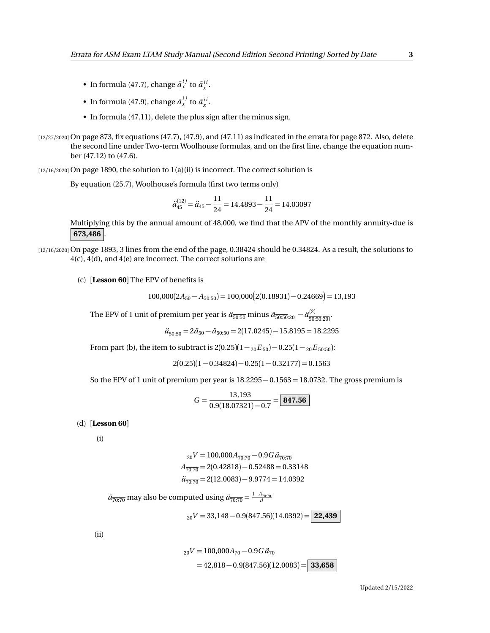- In formula (47.7), change  $\bar{a}_x^{ij}$  to  $\bar{a}_x^{ii}$ .
- In formula (47.9), change  $\bar{a}_x^{ij}$  to  $\bar{a}_x^{ii}$ .
- In formula (47.11), delete the plus sign after the minus sign.
- $[12/27/2020]$  On page 873, fix equations  $(47.7)$ ,  $(47.9)$ , and  $(47.11)$  as indicated in the errata for page 872. Also, delete the second line under Two-term Woolhouse formulas, and on the first line, change the equation number (47.12) to (47.6).

[12/16/2020] On page 1890, the solution to 1(a)(ii) is incorrect. The correct solution is

By equation (25.7), Woolhouse's formula (first two terms only)

$$
\ddot{a}_{45}^{(12)} = \ddot{a}_{45} - \frac{11}{24} = 14.4893 - \frac{11}{24} = 14.03097
$$

Multiplying this by the annual amount of 48,000, we find that the APV of the monthly annuity-due is **673,486** .

- [12/16/2020] On page 1893, 3 lines from the end of the page, 0.38424 should be 0.34824. As a result, the solutions to 4(c), 4(d), and 4(e) are incorrect. The correct solutions are
	- (c) [**Lesson 60**] The EPV of benefits is

 $100,000(2A_{50}-A_{50:50})=100,000(2(0.18931)-0.24669)=13,193$ 

The EPV of 1 unit of premium per year is  $\ddot{a}_{\overline{50:50}}$  minus  $\ddot{a}_{\overline{50:50:20|}} - \ddot{a}_{\overline{50:50}}^{(2)}$  $\frac{(2)}{50:50:20}$ 

$$
\ddot{a}_{\overline{50:50}} = 2\ddot{a}_{50} - \ddot{a}_{50:50} = 2(17.0245) - 15.8195 = 18.2295
$$

From part (b), the item to subtract is  $2(0.25)(1 -_{20}E_{50}) - 0.25(1 -_{20}E_{50.50})$ :

$$
2(0.25)(1 - 0.34824) - 0.25(1 - 0.32177) = 0.1563
$$

So the EPV of 1 unit of premium per year is  $18.2295 - 0.1563 = 18.0732$ . The gross premium is

$$
G = \frac{13,193}{0.9(18.07321) - 0.7} = \boxed{\textbf{847.56}}
$$

(d) [**Lesson 60**]

(i)

$$
{}_{20}V = 100,000A_{\overline{70:70}} - 0.9G\ddot{a}_{\overline{70:70}}
$$

$$
A_{\overline{70:70}} = 2(0.42818) - 0.52488 = 0.33148
$$

$$
\ddot{a}_{\overline{70:70}} = 2(12.0083) - 9.9774 = 14.0392
$$

 $\ddot{a}_{\overline{70:70}}$  may also be computed using  $\ddot{a}_{\overline{70:70}} = \frac{1-A_{\overline{70:70}}}{d}$ 

 $_{20}V = 33,148 - 0.9(847.56)(14.0392) =$  **22,439** 

(ii)

$$
{}_{20}V = 100,000A_{70} - 0.9G \ddot{a}_{70}
$$
  
= 42,818 - 0.9(847.56)(12.0083) = 33,658